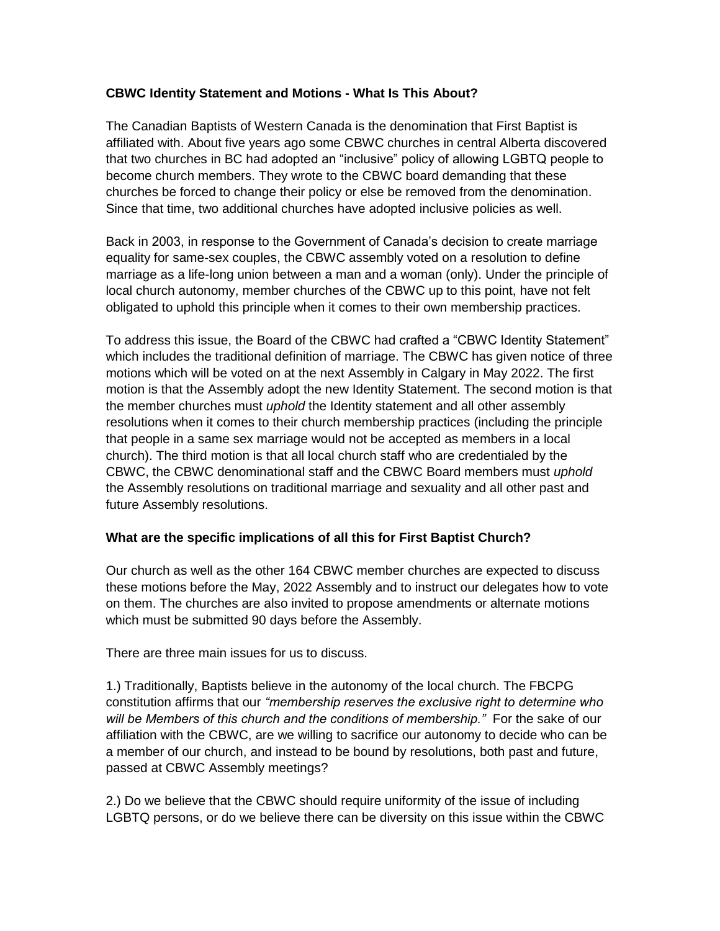## **CBWC Identity Statement and Motions - What Is This About?**

The Canadian Baptists of Western Canada is the denomination that First Baptist is affiliated with. About five years ago some CBWC churches in central Alberta discovered that two churches in BC had adopted an "inclusive" policy of allowing LGBTQ people to become church members. They wrote to the CBWC board demanding that these churches be forced to change their policy or else be removed from the denomination. Since that time, two additional churches have adopted inclusive policies as well.

Back in 2003, in response to the Government of Canada's decision to create marriage equality for same-sex couples, the CBWC assembly voted on a resolution to define marriage as a life-long union between a man and a woman (only). Under the principle of local church autonomy, member churches of the CBWC up to this point, have not felt obligated to uphold this principle when it comes to their own membership practices.

To address this issue, the Board of the CBWC had crafted a "CBWC Identity Statement" which includes the traditional definition of marriage. The CBWC has given notice of three motions which will be voted on at the next Assembly in Calgary in May 2022. The first motion is that the Assembly adopt the new Identity Statement. The second motion is that the member churches must *uphold* the Identity statement and all other assembly resolutions when it comes to their church membership practices (including the principle that people in a same sex marriage would not be accepted as members in a local church). The third motion is that all local church staff who are credentialed by the CBWC, the CBWC denominational staff and the CBWC Board members must *uphold* the Assembly resolutions on traditional marriage and sexuality and all other past and future Assembly resolutions.

## **What are the specific implications of all this for First Baptist Church?**

Our church as well as the other 164 CBWC member churches are expected to discuss these motions before the May, 2022 Assembly and to instruct our delegates how to vote on them. The churches are also invited to propose amendments or alternate motions which must be submitted 90 days before the Assembly.

There are three main issues for us to discuss.

1.) Traditionally, Baptists believe in the autonomy of the local church. The FBCPG constitution affirms that our *"membership reserves the exclusive right to determine who will be Members of this church and the conditions of membership."* For the sake of our affiliation with the CBWC, are we willing to sacrifice our autonomy to decide who can be a member of our church, and instead to be bound by resolutions, both past and future, passed at CBWC Assembly meetings?

2.) Do we believe that the CBWC should require uniformity of the issue of including LGBTQ persons, or do we believe there can be diversity on this issue within the CBWC